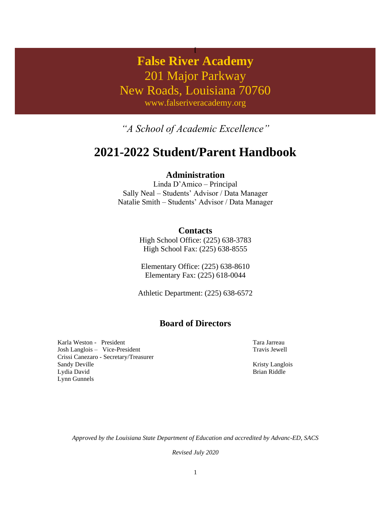# **False River Academy** 201 Major Parkway New Roads, Louisiana 70760 www.falseriveracademy.org

**[**

*"A School of Academic Excellence"*

# **2021-2022 Student/Parent Handbook**

### **Administration**

Linda D'Amico – Principal Sally Neal – Students' Advisor / Data Manager Natalie Smith – Students' Advisor / Data Manager

### **Contacts**

High School Office: (225) 638-3783 High School Fax: (225) 638-8555

Elementary Office: (225) 638-8610 Elementary Fax: (225) 618-0044

Athletic Department: (225) 638-6572

## **Board of Directors**

Karla Weston - President Josh Langlois – Vice-President Crissi Canezaro - Secretary/Treasurer Sandy Deville Lydia David Lynn Gunnels

Tara Jarreau Travis Jewell

Kristy Langlois Brian Riddle

*Approved by the Louisiana State Department of Education and accredited by Advanc-ED, SACS*

*Revised July 2020*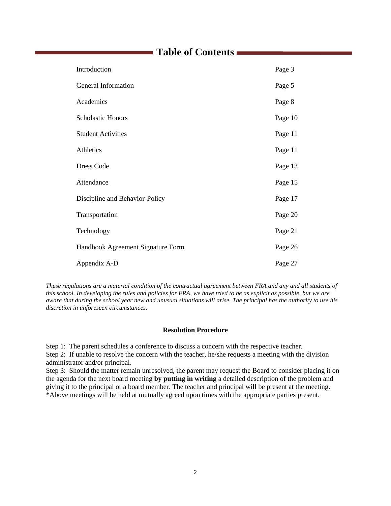# **Table of Contents**

| Introduction                      | Page 3  |
|-----------------------------------|---------|
| General Information               | Page 5  |
| Academics                         | Page 8  |
| <b>Scholastic Honors</b>          | Page 10 |
| <b>Student Activities</b>         | Page 11 |
| Athletics                         | Page 11 |
| <b>Dress Code</b>                 | Page 13 |
| Attendance                        | Page 15 |
| Discipline and Behavior-Policy    | Page 17 |
| Transportation                    | Page 20 |
| Technology                        | Page 21 |
| Handbook Agreement Signature Form | Page 26 |
| Appendix A-D                      | Page 27 |

*These regulations are a material condition of the contractual agreement between FRA and any and all students of this school. In developing the rules and policies for FRA, we have tried to be as explicit as possible, but we are aware that during the school year new and unusual situations will arise. The principal has the authority to use his discretion in unforeseen circumstances.*

#### **Resolution Procedure**

Step 1: The parent schedules a conference to discuss a concern with the respective teacher.

Step 2: If unable to resolve the concern with the teacher, he/she requests a meeting with the division administrator and/or principal.

Step 3: Should the matter remain unresolved, the parent may request the Board to consider placing it on the agenda for the next board meeting **by putting in writing** a detailed description of the problem and giving it to the principal or a board member. The teacher and principal will be present at the meeting. \*Above meetings will be held at mutually agreed upon times with the appropriate parties present.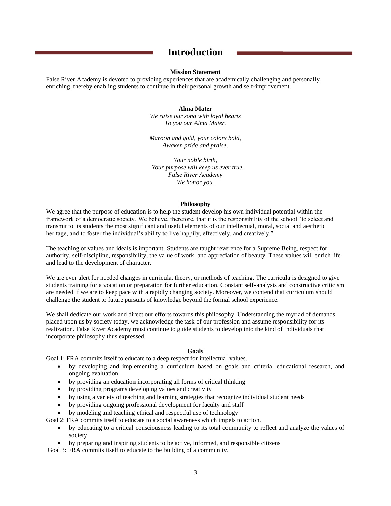## **Introduction**

#### **Mission Statement**

False River Academy is devoted to providing experiences that are academically challenging and personally enriching, thereby enabling students to continue in their personal growth and self-improvement.

#### **Alma Mater**

*We raise our song with loyal hearts To you our Alma Mater.*

*Maroon and gold, your colors bold, Awaken pride and praise.*

*Your noble birth, Your purpose will keep us ever true. False River Academy We honor you.*

#### **Philosophy**

We agree that the purpose of education is to help the student develop his own individual potential within the framework of a democratic society. We believe, therefore, that it is the responsibility of the school "to select and transmit to its students the most significant and useful elements of our intellectual, moral, social and aesthetic heritage, and to foster the individual's ability to live happily, effectively, and creatively."

The teaching of values and ideals is important. Students are taught reverence for a Supreme Being, respect for authority, self-discipline, responsibility, the value of work, and appreciation of beauty. These values will enrich life and lead to the development of character.

We are ever alert for needed changes in curricula, theory, or methods of teaching. The curricula is designed to give students training for a vocation or preparation for further education. Constant self-analysis and constructive criticism are needed if we are to keep pace with a rapidly changing society. Moreover, we contend that curriculum should challenge the student to future pursuits of knowledge beyond the formal school experience.

We shall dedicate our work and direct our efforts towards this philosophy. Understanding the myriad of demands placed upon us by society today, we acknowledge the task of our profession and assume responsibility for its realization. False River Academy must continue to guide students to develop into the kind of individuals that incorporate philosophy thus expressed.

#### **Goals**

Goal 1: FRA commits itself to educate to a deep respect for intellectual values.

- by developing and implementing a curriculum based on goals and criteria, educational research, and ongoing evaluation
- by providing an education incorporating all forms of critical thinking
- by providing programs developing values and creativity
- by using a variety of teaching and learning strategies that recognize individual student needs
- by providing ongoing professional development for faculty and staff
- by modeling and teaching ethical and respectful use of technology
- Goal 2: FRA commits itself to educate to a social awareness which impels to action.
	- by educating to a critical consciousness leading to its total community to reflect and analyze the values of society
	- by preparing and inspiring students to be active, informed, and responsible citizens

Goal 3: FRA commits itself to educate to the building of a community.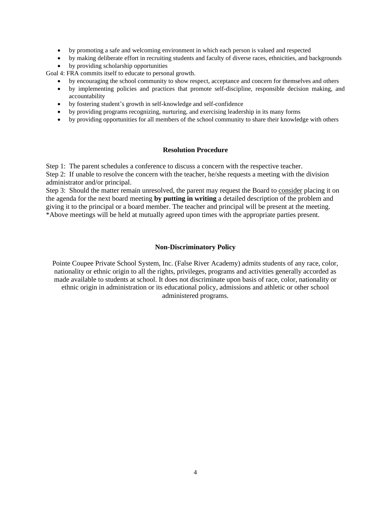- by promoting a safe and welcoming environment in which each person is valued and respected
- by making deliberate effort in recruiting students and faculty of diverse races, ethnicities, and backgrounds
- by providing scholarship opportunities

Goal 4: FRA commits itself to educate to personal growth.

- by encouraging the school community to show respect, acceptance and concern for themselves and others
- by implementing policies and practices that promote self-discipline, responsible decision making, and accountability
- by fostering student's growth in self-knowledge and self-confidence
- by providing programs recognizing, nurturing, and exercising leadership in its many forms
- by providing opportunities for all members of the school community to share their knowledge with others

#### **Resolution Procedure**

Step 1: The parent schedules a conference to discuss a concern with the respective teacher.

Step 2: If unable to resolve the concern with the teacher, he/she requests a meeting with the division administrator and/or principal.

Step 3: Should the matter remain unresolved, the parent may request the Board to consider placing it on the agenda for the next board meeting **by putting in writing** a detailed description of the problem and giving it to the principal or a board member. The teacher and principal will be present at the meeting. \*Above meetings will be held at mutually agreed upon times with the appropriate parties present.

#### **Non-Discriminatory Policy**

Pointe Coupee Private School System, Inc. (False River Academy) admits students of any race, color, nationality or ethnic origin to all the rights, privileges, programs and activities generally accorded as made available to students at school. It does not discriminate upon basis of race, color, nationality or ethnic origin in administration or its educational policy, admissions and athletic or other school administered programs.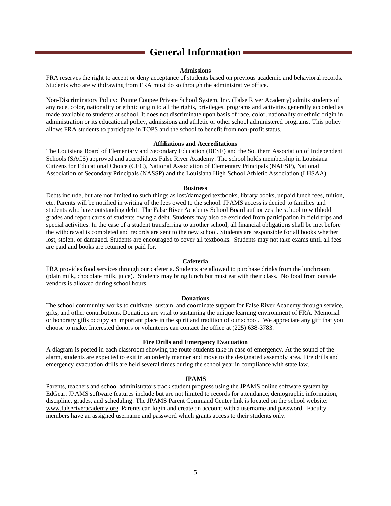# **General Information**

#### **Admissions**

FRA reserves the right to accept or deny acceptance of students based on previous academic and behavioral records. Students who are withdrawing from FRA must do so through the administrative office.

Non-Discriminatory Policy: Pointe Coupee Private School System, Inc. (False River Academy) admits students of any race, color, nationality or ethnic origin to all the rights, privileges, programs and activities generally accorded as made available to students at school. It does not discriminate upon basis of race, color, nationality or ethnic origin in administration or its educational policy, admissions and athletic or other school administered programs. This policy allows FRA students to participate in TOPS and the school to benefit from non-profit status.

#### **Affiliations and Accreditations**

The Louisiana Board of Elementary and Secondary Education (BESE) and the Southern Association of Independent Schools (SACS) approved and accredidates False River Academy. The school holds membership in Louisiana Citizens for Educational Choice (CEC), National Association of Elementary Principals (NAESP), National Association of Secondary Principals (NASSP) and the Louisiana High School Athletic Association (LHSAA).

#### **Business**

Debts include, but are not limited to such things as lost/damaged textbooks, library books, unpaid lunch fees, tuition, etc. Parents will be notified in writing of the fees owed to the school. JPAMS access is denied to families and students who have outstanding debt. The False River Academy School Board authorizes the school to withhold grades and report cards of students owing a debt. Students may also be excluded from participation in field trips and special activities. In the case of a student transferring to another school, all financial obligations shall be met before the withdrawal is completed and records are sent to the new school. Students are responsible for all books whether lost, stolen, or damaged. Students are encouraged to cover all textbooks. Students may not take exams until all fees are paid and books are returned or paid for.

#### **Cafeteria**

FRA provides food services through our cafeteria. Students are allowed to purchase drinks from the lunchroom (plain milk, chocolate milk, juice). Students may bring lunch but must eat with their class. No food from outside vendors is allowed during school hours.

#### **Donations**

The school community works to cultivate, sustain, and coordinate support for False River Academy through service, gifts, and other contributions. Donations are vital to sustaining the unique learning environment of FRA. Memorial or honorary gifts occupy an important place in the spirit and tradition of our school. We appreciate any gift that you choose to make. Interested donors or volunteers can contact the office at (225) 638-3783.

#### **Fire Drills and Emergency Evacuation**

A diagram is posted in each classroom showing the route students take in case of emergency. At the sound of the alarm, students are expected to exit in an orderly manner and move to the designated assembly area. Fire drills and emergency evacuation drills are held several times during the school year in compliance with state law.

#### **JPAMS**

Parents, teachers and school administrators track student progress using the JPAMS online software system by EdGear. JPAMS software features include but are not limited to records for attendance, demographic information, discipline, grades, and scheduling. The JPAMS Parent Command Center link is located on the school website: www.falseriveracademy.org. Parents can login and create an account with a username and password. Faculty members have an assigned username and password which grants access to their students only.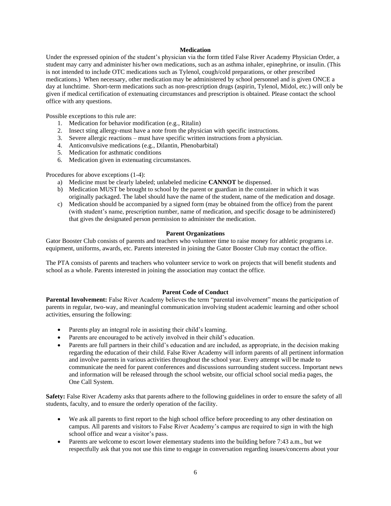#### **Medication**

Under the expressed opinion of the student's physician via the form titled False River Academy Physician Order, a student may carry and administer his/her own medications, such as an asthma inhaler, epinephrine, or insulin. (This is not intended to include OTC medications such as Tylenol, cough/cold preparations, or other prescribed medications.) When necessary, other medication may be administered by school personnel and is given ONCE a day at lunchtime. Short-term medications such as non-prescription drugs (aspirin, Tylenol, Midol, etc.) will only be given if medical certification of extenuating circumstances and prescription is obtained. Please contact the school office with any questions.

Possible exceptions to this rule are:

- 1. Medication for behavior modification (e.g., Ritalin)
- 2. Insect sting allergy-must have a note from the physician with specific instructions.
- 3. Severe allergic reactions must have specific written instructions from a physician.
- 4. Anticonvulsive medications (e.g., Dilantin, Phenobarbital)
- 5. Medication for asthmatic conditions
- 6. Medication given in extenuating circumstances.

Procedures for above exceptions (1-4):

- a) Medicine must be clearly labeled; unlabeled medicine **CANNOT** be dispensed.
- b) Medication MUST be brought to school by the parent or guardian in the container in which it was originally packaged. The label should have the name of the student, name of the medication and dosage.
- c) Medication should be accompanied by a signed form (may be obtained from the office) from the parent (with student's name, prescription number, name of medication, and specific dosage to be administered) that gives the designated person permission to administer the medication.

#### **Parent Organizations**

Gator Booster Club consists of parents and teachers who volunteer time to raise money for athletic programs i.e. equipment, uniforms, awards, etc. Parents interested in joining the Gator Booster Club may contact the office.

The PTA consists of parents and teachers who volunteer service to work on projects that will benefit students and school as a whole. Parents interested in joining the association may contact the office.

#### **Parent Code of Conduct**

**Parental Involvement:** False River Academy believes the term "parental involvement" means the participation of parents in regular, two-way, and meaningful communication involving student academic learning and other school activities, ensuring the following:

- Parents play an integral role in assisting their child's learning.
- Parents are encouraged to be actively involved in their child's education.
- Parents are full partners in their child's education and are included, as appropriate, in the decision making regarding the education of their child. False River Academy will inform parents of all pertinent information and involve parents in various activities throughout the school year. Every attempt will be made to communicate the need for parent conferences and discussions surrounding student success. Important news and information will be released through the school website, our official school social media pages, the One Call System.

**Safety:** False River Academy asks that parents adhere to the following guidelines in order to ensure the safety of all students, faculty, and to ensure the orderly operation of the facility.

- We ask all parents to first report to the high school office before proceeding to any other destination on campus. All parents and visitors to False River Academy's campus are required to sign in with the high school office and wear a visitor's pass.
- Parents are welcome to escort lower elementary students into the building before 7:43 a.m., but we respectfully ask that you not use this time to engage in conversation regarding issues/concerns about your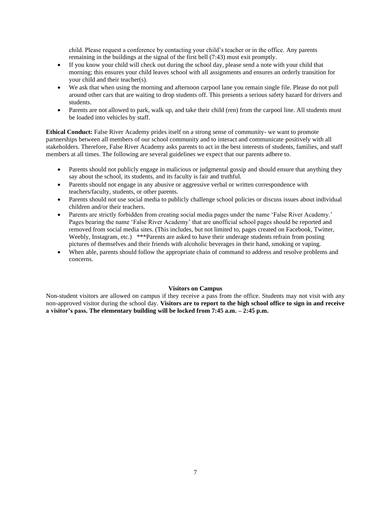child. Please request a conference by contacting your child's teacher or in the office. Any parents remaining in the buildings at the signal of the first bell (7:43) must exit promptly.

- If you know your child will check out during the school day, please send a note with your child that morning; this ensures your child leaves school with all assignments and ensures an orderly transition for your child and their teacher(s).
- We ask that when using the morning and afternoon carpool lane you remain single file. Please do not pull around other cars that are waiting to drop students off. This presents a serious safety hazard for drivers and students.
- Parents are not allowed to park, walk up, and take their child (ren) from the carpool line. All students must be loaded into vehicles by staff.

**Ethical Conduct:** False River Academy prides itself on a strong sense of community- we want to promote partnerships between all members of our school community and to interact and communicate positively with all stakeholders. Therefore, False River Academy asks parents to act in the best interests of students, families, and staff members at all times. The following are several guidelines we expect that our parents adhere to.

- Parents should not publicly engage in malicious or judgmental gossip and should ensure that anything they say about the school, its students, and its faculty is fair and truthful.
- Parents should not engage in any abusive or aggressive verbal or written correspondence with teachers/faculty, students, or other parents.
- Parents should not use social media to publicly challenge school policies or discuss issues about individual children and/or their teachers.
- Parents are strictly forbidden from creating social media pages under the name 'False River Academy.' Pages bearing the name 'False River Academy' that are unofficial school pages should be reported and removed from social media sites. (This includes, but not limited to, pages created on Facebook, Twitter, Weebly, Instagram, etc.) \*\*\*Parents are asked to have their underage students refrain from posting pictures of themselves and their friends with alcoholic beverages in their hand, smoking or vaping.
- When able, parents should follow the appropriate chain of command to address and resolve problems and concerns.

#### **Visitors on Campus**

Non-student visitors are allowed on campus if they receive a pass from the office. Students may not visit with any non-approved visitor during the school day. **Visitors are to report to the high school office to sign in and receive a visitor's pass. The elementary building will be locked from 7:45 a.m. – 2:45 p.m.**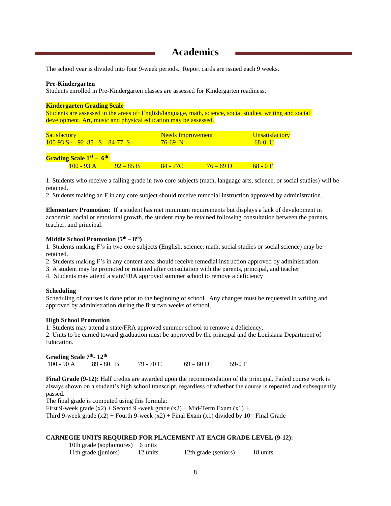## **Academics**

The school year is divided into four 9-week periods. Report cards are issued each 9 weeks.

#### **Pre-Kindergarten**

Students enrolled in Pre-Kindergarten classes are assessed for Kindergarten readiness.

#### **Kindergarten Grading Scale**

Students are assessed in the areas of: English/language, math, science, social studies, writing and social development. Art, music and physical education may be assessed.

| <b>Satisfactory</b>          | Needs Improvement | <b>Unsatisfactory</b> |
|------------------------------|-------------------|-----------------------|
| $100-93 S+ 92-85 S 84-77 S-$ | $76-69$ N         | 68-0 U                |
|                              |                   |                       |

#### **Grading Scale 1st – 6 th**

| $O$ mainly $O$ and $\sim$ |  |  |
|---------------------------|--|--|
|                           |  |  |
|                           |  |  |

1. Students who receive a failing grade in two core subjects (math, language arts, science, or social studies) will be retained.

2. Students making an F in any core subject should receive remedial instruction approved by administration.

**Elementary Promotion**: If a student has met minimum requirements but displays a lack of development in academic, social or emotional growth, the student may be retained following consultation between the parents, teacher, and principal.

#### **Middle School Promotion (5th – 8 th)**

1. Students making F's in two core subjects (English, science, math, social studies or social science) may be retained.

2. Students making F's in any content area should receive remedial instruction approved by administration.

- 3. A student may be promoted or retained after consultation with the parents, principal, and teacher.
- 4. Students may attend a state/FRA approved summer school to remove a deficiency

#### **Scheduling**

Scheduling of courses is done prior to the beginning of school. Any changes must be requested in writing and approved by administration during the first two weeks of school.

#### **High School Promotion**

1. Students may attend a state/FRA approved summer school to remove a deficiency.

2. Units to be earned toward graduation must be approved by the principal and the Louisiana Department of Education.

| Grading Scale 7 <sup>th</sup> -12 <sup>th</sup> |             |           |             |          |
|-------------------------------------------------|-------------|-----------|-------------|----------|
| 100 - 90 A                                      | $89 - 80$ B | 79 - 70 C | $69 - 60$ D | $59-0$ F |

**Final Grade** (9-12): Half credits are awarded upon the recommendation of the principal. Failed course work is always shown on a student's high school transcript, regardless of whether the course is repeated and subsequently passed.

The final grade is computed using this formula:

First 9-week grade  $(x2)$  + Second 9 -week grade  $(x2)$  + Mid-Term Exam  $(x1)$  +

Third 9-week grade  $(x2)$  + Fourth 9-week  $(x2)$  + Final Exam  $(x1)$  divided by 10= Final Grade

#### **CARNEGIE UNITS REQUIRED FOR PLACEMENT AT EACH GRADE LEVEL (9-12):**

| 10th grade (sophomores) 6 units |          |                      |          |
|---------------------------------|----------|----------------------|----------|
| 11th grade (juniors)            | 12 units | 12th grade (seniors) | 18 units |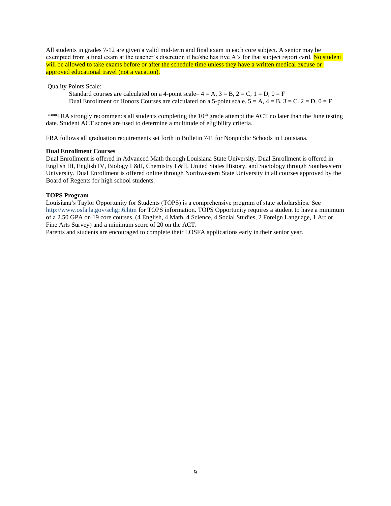All students in grades 7-12 are given a valid mid-term and final exam in each core subject. A senior may be exempted from a final exam at the teacher's discretion if he/she has five A's for that subject report card. No student will be allowed to take exams before or after the schedule time unless they have a written medical excuse or approved educational travel (not a vacation).

Quality Points Scale:

Standard courses are calculated on a 4-point scale–  $4 = A$ ,  $3 = B$ ,  $2 = C$ ,  $1 = D$ ,  $0 = F$ Dual Enrollment or Honors Courses are calculated on a 5-point scale.  $5 = A$ ,  $4 = B$ ,  $3 = C$ .  $2 = D$ ,  $0 = F$ 

\*\*\*FRA strongly recommends all students completing the 10<sup>th</sup> grade attempt the ACT no later than the June testing date. Student ACT scores are used to determine a multitude of eligibility criteria.

FRA follows all graduation requirements set forth in Bulletin 741 for Nonpublic Schools in Louisiana.

#### **Dual Enrollment Courses**

Dual Enrollment is offered in Advanced Math through Louisiana State University. Dual Enrollment is offered in English III, English IV, Biology I &II, Chemistry I &II, United States History, and Sociology through Southeastern University. Dual Enrollment is offered online through Northwestern State University in all courses approved by the Board of Regents for high school students.

#### **TOPS Program**

Louisiana's Taylor Opportunity for Students (TOPS) is a comprehensive program of state scholarships. See http://www.osfa.la.gov/schgrt6.htm for TOPS information. TOPS Opportunity requires a student to have a minimum of a 2.50 GPA on 19 core courses. (4 English, 4 Math, 4 Science, 4 Social Studies, 2 Foreign Language, 1 Art or Fine Arts Survey) and a minimum score of 20 on the ACT.

Parents and students are encouraged to complete their LOSFA applications early in their senior year.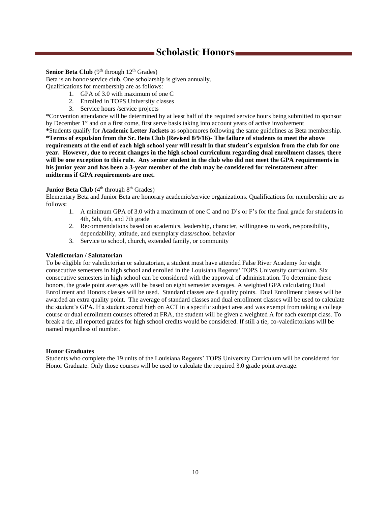# **Scholastic Honors**

#### Senior Beta Club (9<sup>th</sup> through 12<sup>th</sup> Grades)

Beta is an honor/service club. One scholarship is given annually.

Qualifications for membership are as follows:

- 1. GPA of 3.0 with maximum of one C
- 2. Enrolled in TOPS University classes
- 3. Service hours /service projects

\*Convention attendance will be determined by at least half of the required service hours being submitted to sponsor by December 1<sup>st</sup> and on a first come, first serve basis taking into account years of active involvement **\***Students qualify for **Academic Letter Jackets** as sophomores following the same guidelines as Beta membership. **\*Terms of expulsion from the Sr. Beta Club (Revised 8/9/16)- The failure of students to meet the above requirements at the end of each high school year will result in that student's expulsion from the club for one year. However, due to recent changes in the high school curriculum regarding dual enrollment classes, there will be one exception to this rule. Any senior student in the club who did not meet the GPA requirements in his junior year and has been a 3-year member of the club may be considered for reinstatement after midterms if GPA requirements are met.** 

#### **Junior Beta Club** (4<sup>th</sup> through 8<sup>th</sup> Grades)

Elementary Beta and Junior Beta are honorary academic/service organizations. Qualifications for membership are as follows:

- 1. A minimum GPA of 3.0 with a maximum of one C and no D's or F's for the final grade for students in 4th, 5th, 6th, and 7th grade
- 2. Recommendations based on academics, leadership, character, willingness to work, responsibility, dependability, attitude, and exemplary class/school behavior
- 3. Service to school, church, extended family, or community

#### **Valedictorian / Salutatorian**

To be eligible for valedictorian or salutatorian, a student must have attended False River Academy for eight consecutive semesters in high school and enrolled in the Louisiana Regents' TOPS University curriculum. Six consecutive semesters in high school can be considered with the approval of administration. To determine these honors, the grade point averages will be based on eight semester averages. A weighted GPA calculating Dual Enrollment and Honors classes will be used. Standard classes are 4 quality points. Dual Enrollment classes will be awarded an extra quality point. The average of standard classes and dual enrollment classes will be used to calculate the student's GPA. If a student scored high on ACT in a specific subject area and was exempt from taking a college course or dual enrollment courses offered at FRA, the student will be given a weighted A for each exempt class. To break a tie, all reported grades for high school credits would be considered. If still a tie, co-valedictorians will be named regardless of number.

#### **Honor Graduates**

Students who complete the 19 units of the Louisiana Regents' TOPS University Curriculum will be considered for Honor Graduate. Only those courses will be used to calculate the required 3.0 grade point average.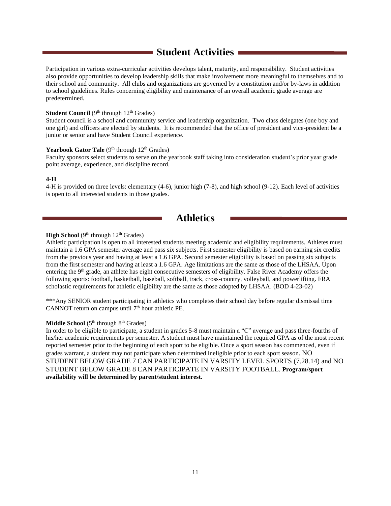# **Student Activities**

Participation in various extra-curricular activities develops talent, maturity, and responsibility. Student activities also provide opportunities to develop leadership skills that make involvement more meaningful to themselves and to their school and community. All clubs and organizations are governed by a constitution and/or by-laws in addition to school guidelines. Rules concerning eligibility and maintenance of an overall academic grade average are predetermined.

#### **Student Council**  $(9<sup>th</sup>$  through  $12<sup>th</sup>$  Grades)

Student council is a school and community service and leadership organization. Two class delegates (one boy and one girl) and officers are elected by students. It is recommended that the office of president and vice-president be a junior or senior and have Student Council experience.

#### Yearbook Gator Tale (9<sup>th</sup> through 12<sup>th</sup> Grades)

Faculty sponsors select students to serve on the yearbook staff taking into consideration student's prior year grade point average, experience, and discipline record.

#### **4-H**

4-H is provided on three levels: elementary (4-6), junior high (7-8), and high school (9-12). Each level of activities is open to all interested students in those grades.

### **Athletics**

#### High School (9<sup>th</sup> through 12<sup>th</sup> Grades)

Athletic participation is open to all interested students meeting academic and eligibility requirements. Athletes must maintain a 1.6 GPA semester average and pass six subjects. First semester eligibility is based on earning six credits from the previous year and having at least a 1.6 GPA. Second semester eligibility is based on passing six subjects from the first semester and having at least a 1.6 GPA. Age limitations are the same as those of the LHSAA. Upon entering the 9<sup>th</sup> grade, an athlete has eight consecutive semesters of eligibility. False River Academy offers the following sports: football, basketball, baseball, softball, track, cross-country, volleyball, and powerlifting. FRA scholastic requirements for athletic eligibility are the same as those adopted by LHSAA. (BOD 4-23-02)

\*\*\*Any SENIOR student participating in athletics who completes their school day before regular dismissal time CANNOT return on campus until  $7<sup>th</sup>$  hour athletic PE.

#### **Middle School** (5<sup>th</sup> through 8<sup>th</sup> Grades)

In order to be eligible to participate, a student in grades 5-8 must maintain a "C" average and pass three-fourths of his/her academic requirements per semester. A student must have maintained the required GPA as of the most recent reported semester prior to the beginning of each sport to be eligible. Once a sport season has commenced, even if grades warrant, a student may not participate when determined ineligible prior to each sport season. NO STUDENT BELOW GRADE 7 CAN PARTICIPATE IN VARSITY LEVEL SPORTS (7.28.14) and NO STUDENT BELOW GRADE 8 CAN PARTICIPATE IN VARSITY FOOTBALL. **Program/sport availability will be determined by parent/student interest.**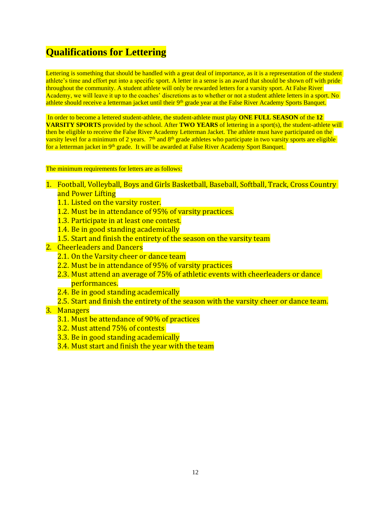# **Qualifications for Lettering**

Lettering is something that should be handled with a great deal of importance, as it is a representation of the student athlete's time and effort put into a specific sport. A letter in a sense is an award that should be shown off with pride throughout the community. A student athlete will only be rewarded letters for a varsity sport. At False River Academy, we will leave it up to the coaches' discretions as to whether or not a student athlete letters in a sport. No athlete should receive a letterman jacket until their 9<sup>th</sup> grade year at the False River Academy Sports Banquet.

In order to become a lettered student-athlete, the student-athlete must play **ONE FULL SEASON** of the **12 VARSITY SPORTS** provided by the school. After **TWO YEARS** of lettering in a sport(s), the student-athlete will then be eligible to receive the False River Academy Letterman Jacket. The athlete must have participated on the varsity level for a minimum of 2 years. 7<sup>th</sup> and 8<sup>th</sup> grade athletes who participate in two varsity sports are eligible for a letterman jacket in 9<sup>th</sup> grade. It will be awarded at False River Academy Sport Banquet.

#### The minimum requirements for letters are as follows:

- 1. Football, Volleyball, Boys and Girls Basketball, Baseball, Softball, Track, Cross Country and Power Lifting
	- 1.1. Listed on the varsity roster.
	- 1.2. Must be in attendance of 95% of varsity practices.
	- 1.3. Participate in at least one contest.
	- 1.4. Be in good standing academically
	- 1.5. Start and finish the entirety of the season on the varsity team
- 2. Cheerleaders and Dancers
	- 2.1. On the Varsity cheer or dance team
	- 2.2. Must be in attendance of 95% of varsity practices
	- 2.3. Must attend an average of 75% of athletic events with cheerleaders or dance performances.
	- 2.4. Be in good standing academically
	- 2.5. Start and finish the entirety of the season with the varsity cheer or dance team.

#### 3. Managers

- 3.1. Must be attendance of 90% of practices
- 3.2. Must attend 75% of contests
- 3.3. Be in good standing academically
- 3.4. Must start and finish the year with the team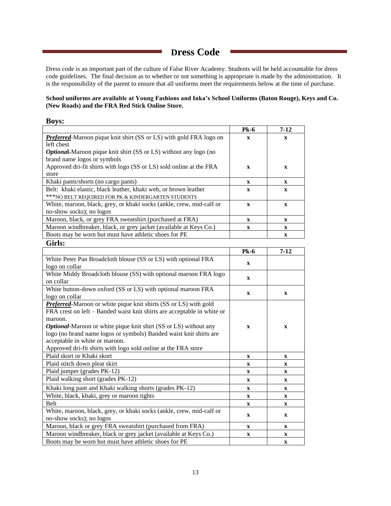# **Dress Code**

Dress code is an important part of the culture of False River Academy. Students will be held accountable for dress code guidelines. The final decision as to whether or not something is appropriate is made by the administration. It is the responsibility of the parent to ensure that all uniforms meet the requirements below at the time of purchase.

#### **School uniforms are available at Young Fashions and Inka's School Uniforms (Baton Rouge), Keys and Co. (New Roads) and the FRA Red Stick Online Store.**

| <b>Boys:</b>                                                            |              |              |
|-------------------------------------------------------------------------|--------------|--------------|
|                                                                         | $P_{k-6}$    | $7 - 12$     |
| Preferred-Maroon pique knit shirt (SS or LS) with gold FRA logo on      | $\mathbf{x}$ | $\mathbf{x}$ |
| left chest                                                              |              |              |
| Optional-Maroon pique knit shirt (SS or LS) without any logo (no        |              |              |
| brand name logos or symbols                                             |              |              |
| Approved dri-fit shirts with logo (SS or LS) sold online at the FRA     | $\mathbf X$  | $\mathbf x$  |
| store                                                                   |              |              |
| Khaki pants/shorts (no cargo pants)                                     | X            | $\mathbf X$  |
| Belt: khaki elastic, black leather, khaki web, or brown leather         | $\mathbf X$  | $\mathbf X$  |
| *** NO BELT REQUIRED FOR PK & KINDERGARTEN STUDENTS                     |              |              |
| White, maroon, black, grey, or khaki socks (ankle, crew, mid-calf or    | $\mathbf{X}$ | $\mathbf{X}$ |
| no-show socks); no logos                                                |              |              |
| Maroon, black, or grey FRA sweatshirt (purchased at FRA)                | X            | X            |
| Maroon windbreaker, black, or grey jacket (available at Keys Co.)       | $\mathbf{X}$ | $\mathbf X$  |
| Boots may be worn but must have athletic shoes for PE                   |              | $\mathbf X$  |
| Girls:                                                                  |              |              |
|                                                                         | $P_{k-6}$    | $7 - 12$     |
| White Peter Pan Broadcloth blouse (SS or LS) with optional FRA          |              |              |
| logo on collar                                                          | $\mathbf X$  |              |
| White Middy Broadcloth blouse (SS) with optional maroon FRA logo        | $\mathbf{x}$ |              |
| on collar                                                               |              |              |
| White button-down oxford (SS or LS) with optional maroon FRA            | $\mathbf x$  | $\mathbf x$  |
| logo on collar                                                          |              |              |
| Preferred-Maroon or white pique knit shirts (SS or LS) with gold        |              |              |
| FRA crest on left – Banded waist knit shirts are acceptable in white or |              |              |
| maroon.                                                                 |              |              |
| <b>Optional-Maroon or white pique knit shirt (SS or LS) without any</b> | $\mathbf X$  | $\mathbf X$  |
| logo (no brand name logos or symbols) Banded waist knit shirts are      |              |              |
| acceptable in white or maroon.                                          |              |              |
| Approved dri-fit shirts with logo sold online at the FRA store          |              |              |

| Approved dri-fit shirts with logo sold online at the FRA store                                   |              |             |
|--------------------------------------------------------------------------------------------------|--------------|-------------|
| Plaid skort or Khaki skort                                                                       | $\mathbf x$  | $\mathbf x$ |
| Plaid stitch down pleat skirt                                                                    | $\mathbf x$  | $\mathbf X$ |
| Plaid jumper (grades PK-12)                                                                      | $\mathbf X$  | $\mathbf x$ |
| Plaid walking short (grades PK-12)                                                               | $\mathbf x$  | $\mathbf x$ |
| Khaki long pant and Khaki walking shorts (grades PK-12)                                          | $\mathbf x$  | $\mathbf X$ |
| White, black, khaki, grey or maroon tights                                                       | $\mathbf X$  | $\mathbf x$ |
| Belt                                                                                             | $\mathbf{x}$ | $\mathbf x$ |
| White, maroon, black, grey, or khaki socks (ankle, crew, mid-calf or<br>no-show socks); no logos | $\mathbf x$  | $\mathbf X$ |
| Maroon, black or grey FRA sweatshirt (purchased from FRA)                                        | $\mathbf x$  | $\mathbf x$ |
| Maroon windbreaker, black or grey jacket (available at Keys Co.)                                 | X            | X           |
| Boots may be worn but must have athletic shoes for PE                                            |              | X           |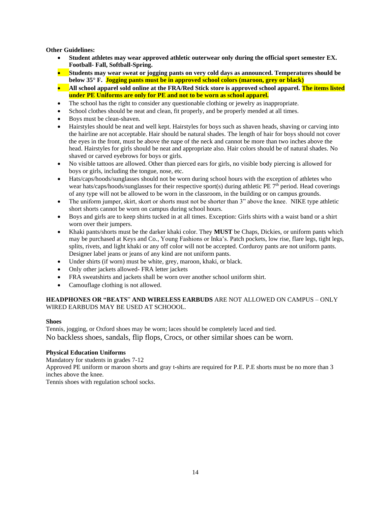**Other Guidelines:**

- **Student athletes may wear approved athletic outerwear only during the official sport semester EX. Football- Fall, Softball-Spring.**
- **Students may wear sweat or jogging pants on very cold days as announced. Temperatures should be below 35° F. Jogging pants must be in approved school colors (maroon, grey or black)**
- **All school apparel sold online at the FRA/Red Stick store is approved school apparel. The items listed under PE Uniforms are only for PE and not to be worn as school apparel.**
- The school has the right to consider any questionable clothing or jewelry as inappropriate.
- School clothes should be neat and clean, fit properly, and be properly mended at all times.
- Boys must be clean-shaven.
- Hairstyles should be neat and well kept. Hairstyles for boys such as shaven heads, shaving or carving into the hairline are not acceptable. Hair should be natural shades. The length of hair for boys should not cover the eyes in the front, must be above the nape of the neck and cannot be more than two inches above the head. Hairstyles for girls should be neat and appropriate also. Hair colors should be of natural shades. No shaved or carved eyebrows for boys or girls.
- No visible tattoos are allowed. Other than pierced ears for girls, no visible body piercing is allowed for boys or girls, including the tongue, nose, etc.
- Hats/caps/hoods/sunglasses should not be worn during school hours with the exception of athletes who wear hats/caps/hoods/sunglasses for their respective sport(s) during athletic PE 7<sup>th</sup> period. Head coverings of any type will not be allowed to be worn in the classroom, in the building or on campus grounds.
- The uniform jumper, skirt, skort or shorts must not be shorter than 3" above the knee. NIKE type athletic short shorts cannot be worn on campus during school hours.
- Boys and girls are to keep shirts tucked in at all times. Exception: Girls shirts with a waist band or a shirt worn over their jumpers.
- Khaki pants/shorts must be the darker khaki color. They **MUST** be Chaps, Dickies, or uniform pants which may be purchased at Keys and Co., Young Fashions or Inka's. Patch pockets, low rise, flare legs, tight legs, splits, rivets, and light khaki or any off color will not be accepted. Corduroy pants are not uniform pants. Designer label jeans or jeans of any kind are not uniform pants.
- Under shirts (if worn) must be white, grey, maroon, khaki, or black.
- Only other jackets allowed- FRA letter jackets
- FRA sweatshirts and jackets shall be worn over another school uniform shirt.
- Camouflage clothing is not allowed.

#### **HEADPHONES OR "BEATS**" **AND WIRELESS EARBUDS** ARE NOT ALLOWED ON CAMPUS – ONLY WIRED EARBUDS MAY BE USED AT SCHOOOL.

#### **Shoes**

Tennis, jogging, or Oxford shoes may be worn; laces should be completely laced and tied. No backless shoes, sandals, flip flops, Crocs, or other similar shoes can be worn.

#### **Physical Education Uniforms**

Mandatory for students in grades 7-12

Approved PE uniform or maroon shorts and gray t-shirts are required for P.E. P.E shorts must be no more than 3 inches above the knee.

Tennis shoes with regulation school socks.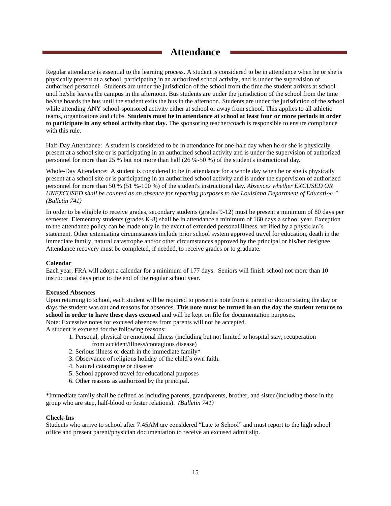# **Attendance**

Regular attendance is essential to the learning process. A student is considered to be in attendance when he or she is physically present at a school, participating in an authorized school activity, and is under the supervision of authorized personnel. Students are under the jurisdiction of the school from the time the student arrives at school until he/she leaves the campus in the afternoon. Bus students are under the jurisdiction of the school from the time he/she boards the bus until the student exits the bus in the afternoon. Students are under the jurisdiction of the school while attending ANY school-sponsored activity either at school or away from school. This applies to all athletic teams, organizations and clubs. **Students must be in attendance at school at least four or more periods in order to participate in any school activity that day.** The sponsoring teacher/coach is responsible to ensure compliance with this rule.

Half-Day Attendance: A student is considered to be in attendance for one-half day when he or she is physically present at a school site or is participating in an authorized school activity and is under the supervision of authorized personnel for more than 25 % but not more than half (26 %-50 %) of the student's instructional day.

Whole-Day Attendance: A student is considered to be in attendance for a whole day when he or she is physically present at a school site or is participating in an authorized school activity and is under the supervision of authorized personnel for more than 50 % (51 %-100 %) of the student's instructional day. *Absences whether EXCUSED OR UNEXCUSED shall be counted as an absence for reporting purposes to the Louisiana Department of Education." (Bulletin 741)*

In order to be eligible to receive grades, secondary students (grades 9-12) must be present a minimum of 80 days per semester. Elementary students (grades K-8) shall be in attendance a minimum of 160 days a school year. Exception to the attendance policy can be made only in the event of extended personal illness, verified by a physician's statement. Other extenuating circumstances include prior school system approved travel for education, death in the immediate family, natural catastrophe and/or other circumstances approved by the principal or his/her designee. Attendance recovery must be completed, if needed, to receive grades or to graduate.

#### **Calendar**

Each year, FRA will adopt a calendar for a minimum of 177 days. Seniors will finish school not more than 10 instructional days prior to the end of the regular school year.

#### **Excused Absences**

Upon returning to school, each student will be required to present a note from a parent or doctor stating the day or days the student was out and reasons for absences. **This note must be turned in on the day the student returns to school in order to have these days excused** and will be kept on file for documentation purposes. Note: Excessive notes for excused absences from parents will not be accepted.

A student is excused for the following reasons:

- 1. Personal, physical or emotional illness (including but not limited to hospital stay, recuperation from accident/illness/contagious disease)
- 2. Serious illness or death in the immediate family\*
- 3. Observance of religious holiday of the child's own faith.
- 4. Natural catastrophe or disaster
- 5. School approved travel for educational purposes
- 6. Other reasons as authorized by the principal.

\*Immediate family shall be defined as including parents, grandparents, brother, and sister (including those in the group who are step, half-blood or foster relations). *(Bulletin 741)*

#### **Check-Ins**

Students who arrive to school after 7:45AM are considered "Late to School" and must report to the high school office and present parent/physician documentation to receive an excused admit slip.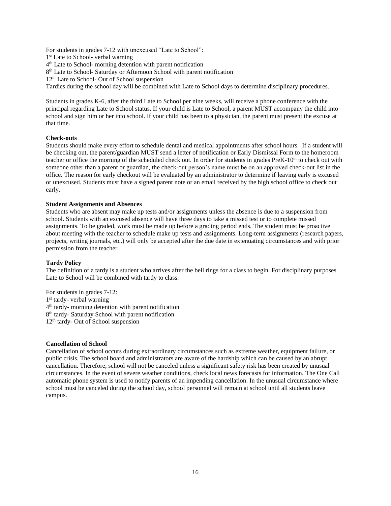For students in grades 7-12 with unexcused "Late to School":

1<sup>st</sup> Late to School- verbal warning

4<sup>th</sup> Late to School- morning detention with parent notification

8<sup>th</sup> Late to School- Saturday or Afternoon School with parent notification

12<sup>th</sup> Late to School- Out of School suspension

Tardies during the school day will be combined with Late to School days to determine disciplinary procedures.

Students in grades K-6, after the third Late to School per nine weeks, will receive a phone conference with the principal regarding Late to School status. If your child is Late to School, a parent MUST accompany the child into school and sign him or her into school. If your child has been to a physician, the parent must present the excuse at that time.

#### **Check-outs**

Students should make every effort to schedule dental and medical appointments after school hours. If a student will be checking out, the parent/guardian MUST send a letter of notification or Early Dismissal Form to the homeroom teacher or office the morning of the scheduled check out. In order for students in grades PreK-10<sup>th</sup> to check out with someone other than a parent or guardian, the check-out person's name must be on an approved check-out list in the office. The reason for early checkout will be evaluated by an administrator to determine if leaving early is excused or unexcused. Students must have a signed parent note or an email received by the high school office to check out early.

#### **Student Assignments and Absences**

Students who are absent may make up tests and/or assignments unless the absence is due to a suspension from school. Students with an excused absence will have three days to take a missed test or to complete missed assignments. To be graded, work must be made up before a grading period ends. The student must be proactive about meeting with the teacher to schedule make up tests and assignments. Long-term assignments (research papers, projects, writing journals, etc.) will only be accepted after the due date in extenuating circumstances and with prior permission from the teacher.

#### **Tardy Policy**

The definition of a tardy is a student who arrives after the bell rings for a class to begin. For disciplinary purposes Late to School will be combined with tardy to class.

For students in grades 7-12:

1<sup>st</sup> tardy- verbal warning 4<sup>th</sup> tardy- morning detention with parent notification

8<sup>th</sup> tardy- Saturday School with parent notification

12<sup>th</sup> tardy- Out of School suspension

#### **Cancellation of School**

Cancellation of school occurs during extraordinary circumstances such as extreme weather, equipment failure, or public crisis. The school board and administrators are aware of the hardship which can be caused by an abrupt cancellation. Therefore, school will not be canceled unless a significant safety risk has been created by unusual circumstances. In the event of severe weather conditions, check local news forecasts for information. The One Call automatic phone system is used to notify parents of an impending cancellation. In the unusual circumstance where school must be canceled during the school day, school personnel will remain at school until all students leave campus.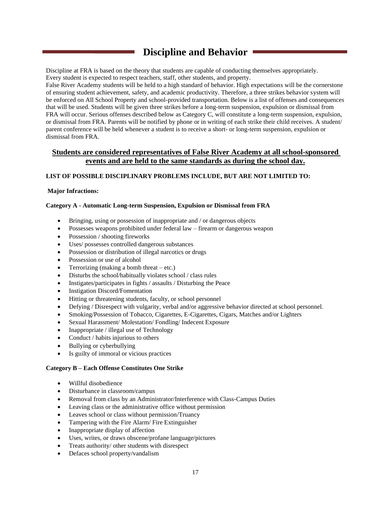# **Discipline and Behavior**

Discipline at FRA is based on the theory that students are capable of conducting themselves appropriately. Every student is expected to respect teachers, staff, other students, and property.

False River Academy students will be held to a high standard of behavior. High expectations will be the cornerstone of ensuring student achievement, safety, and academic productivity. Therefore, a three strikes behavior system will be enforced on All School Property and school-provided transportation. Below is a list of offenses and consequences that will be used. Students will be given three strikes before a long-term suspension, expulsion or dismissal from FRA will occur. Serious offenses described below as Category C, will constitute a long-term suspension, expulsion, or dismissal from FRA. Parents will be notified by phone or in writing of each strike their child receives. A student/ parent conference will be held whenever a student is to receive a short- or long-term suspension, expulsion or dismissal from FRA.

#### **Students are considered representatives of False River Academy at all school-sponsored events and are held to the same standards as during the school day.**

#### **LIST OF POSSIBLE DISCIPLINARY PROBLEMS INCLUDE, BUT ARE NOT LIMITED TO:**

#### **Major Infractions:**

#### **Category A - Automatic Long-term Suspension, Expulsion or Dismissal from FRA**

- Bringing, using or possession of inappropriate and / or dangerous objects
- Possesses weapons prohibited under federal law firearm or dangerous weapon
- Possession / shooting fireworks
- Uses/ possesses controlled dangerous substances
- Possession or distribution of illegal narcotics or drugs
- Possession or use of alcohol
- Terrorizing (making a bomb threat etc.)
- Disturbs the school/habitually violates school / class rules
- Instigates/participates in fights / assaults / Disturbing the Peace
- Instigation Discord/Fomentation
- Hitting or threatening students, faculty, or school personnel
- Defying / Disrespect with vulgarity, verbal and/or aggressive behavior directed at school personnel.
- Smoking/Possession of Tobacco, Cigarettes, E-Cigarettes, Cigars, Matches and/or Lighters
- Sexual Harassment/Molestation/Fondling/Indecent Exposure
- Inappropriate / illegal use of Technology
- Conduct / habits injurious to others
- Bullying or cyberbullying
- Is guilty of immoral or vicious practices

#### **Category B – Each Offense Constitutes One Strike**

- Willful disobedience
- Disturbance in classroom/campus
- Removal from class by an Administrator/Interference with Class-Campus Duties
- Leaving class or the administrative office without permission
- Leaves school or class without permission/Truancy
- Tampering with the Fire Alarm/ Fire Extinguisher
- Inappropriate display of affection
- Uses, writes, or draws obscene/profane language/pictures
- Treats authority/ other students with disrespect
- Defaces school property/vandalism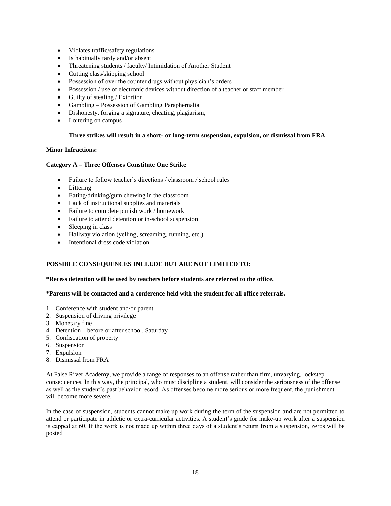- Violates traffic/safety regulations
- Is habitually tardy and/or absent
- Threatening students / faculty/ Intimidation of Another Student
- Cutting class/skipping school
- Possession of over the counter drugs without physician's orders
- Possession / use of electronic devices without direction of a teacher or staff member
- Guilty of stealing / Extortion
- Gambling Possession of Gambling Paraphernalia
- Dishonesty, forging a signature, cheating, plagiarism,
- Loitering on campus

#### **Three strikes will result in a short- or long-term suspension, expulsion, or dismissal from FRA**

#### **Minor Infractions:**

#### **Category A – Three Offenses Constitute One Strike**

- Failure to follow teacher's directions / classroom / school rules
- Littering
- Eating/drinking/gum chewing in the classroom
- Lack of instructional supplies and materials
- Failure to complete punish work / homework
- Failure to attend detention or in-school suspension
- Sleeping in class
- Hallway violation (yelling, screaming, running, etc.)
- Intentional dress code violation

#### **POSSIBLE CONSEQUENCES INCLUDE BUT ARE NOT LIMITED TO:**

#### **\*Recess detention will be used by teachers before students are referred to the office.**

#### **\*Parents will be contacted and a conference held with the student for all office referrals.**

- 1. Conference with student and/or parent
- 2. Suspension of driving privilege
- 3. Monetary fine
- 4. Detention before or after school, Saturday
- 5. Confiscation of property
- 6. Suspension
- 7. Expulsion
- 8. Dismissal from FRA

At False River Academy, we provide a range of responses to an offense rather than firm, unvarying, lockstep consequences. In this way, the principal, who must discipline a student, will consider the seriousness of the offense as well as the student's past behavior record. As offenses become more serious or more frequent, the punishment will become more severe.

In the case of suspension, students cannot make up work during the term of the suspension and are not permitted to attend or participate in athletic or extra-curricular activities. A student's grade for make-up work after a suspension is capped at 60. If the work is not made up within three days of a student's return from a suspension, zeros will be posted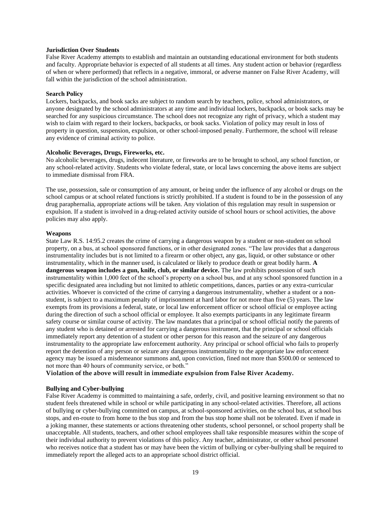#### **Jurisdiction Over Students**

False River Academy attempts to establish and maintain an outstanding educational environment for both students and faculty. Appropriate behavior is expected of all students at all times. Any student action or behavior (regardless of when or where performed) that reflects in a negative, immoral, or adverse manner on False River Academy, will fall within the jurisdiction of the school administration.

#### **Search Policy**

Lockers, backpacks, and book sacks are subject to random search by teachers, police, school administrators, or anyone designated by the school administrators at any time and individual lockers, backpacks, or book sacks may be searched for any suspicious circumstance. The school does not recognize any right of privacy, which a student may wish to claim with regard to their lockers, backpacks, or book sacks. Violation of policy may result in loss of property in question, suspension, expulsion, or other school-imposed penalty. Furthermore, the school will release any evidence of criminal activity to police.

#### **Alcoholic Beverages, Drugs, Fireworks, etc.**

No alcoholic beverages, drugs, indecent literature, or fireworks are to be brought to school, any school function, or any school-related activity. Students who violate federal, state, or local laws concerning the above items are subject to immediate dismissal from FRA.

The use, possession, sale or consumption of any amount, or being under the influence of any alcohol or drugs on the school campus or at school related functions is strictly prohibited. If a student is found to be in the possession of any drug paraphernalia, appropriate actions will be taken. Any violation of this regulation may result in suspension or expulsion. If a student is involved in a drug-related activity outside of school hours or school activities, the above policies may also apply.

#### **Weapons**

State Law R.S. 14:95.2 creates the crime of carrying a dangerous weapon by a student or non-student on school property, on a bus, at school sponsored functions, or in other designated zones. "The law provides that a dangerous instrumentality includes but is not limited to a firearm or other object, any gas, liquid, or other substance or other instrumentality, which in the manner used, is calculated or likely to produce death or great bodily harm. **A dangerous weapon includes a gun, knife, club, or similar device.** The law prohibits possession of such instrumentality within 1,000 feet of the school's property on a school bus, and at any school sponsored function in a specific designated area including but not limited to athletic competitions, dances, parties or any extra-curricular activities. Whoever is convicted of the crime of carrying a dangerous instrumentality, whether a student or a nonstudent, is subject to a maximum penalty of imprisonment at hard labor for not more than five (5) years. The law exempts from its provisions a federal, state, or local law enforcement officer or school official or employee acting during the direction of such a school official or employee. It also exempts participants in any legitimate firearm safety course or similar course of activity. The law mandates that a principal or school official notify the parents of any student who is detained or arrested for carrying a dangerous instrument, that the principal or school officials immediately report any detention of a student or other person for this reason and the seizure of any dangerous instrumentality to the appropriate law enforcement authority. Any principal or school official who fails to properly report the detention of any person or seizure any dangerous instrumentality to the appropriate law enforcement agency may be issued a misdemeanor summons and, upon conviction, fined not more than \$500.00 or sentenced to not more than 40 hours of community service, or both."

**Violation of the above will result in immediate expulsion from False River Academy.**

#### **Bullying and Cyber-bullying**

False River Academy is committed to maintaining a safe, orderly, civil, and positive learning environment so that no student feels threatened while in school or while participating in any school-related activities. Therefore, all actions of bullying or cyber-bullying committed on campus, at school-sponsored activities, on the school bus, at school bus stops, and en-route to from home to the bus stop and from the bus stop home shall not be tolerated. Even if made in a joking manner, these statements or actions threatening other students, school personnel, or school property shall be unacceptable. All students, teachers, and other school employees shall take responsible measures within the scope of their individual authority to prevent violations of this policy. Any teacher, administrator, or other school personnel who receives notice that a student has or may have been the victim of bullying or cyber-bullying shall be required to immediately report the alleged acts to an appropriate school district official.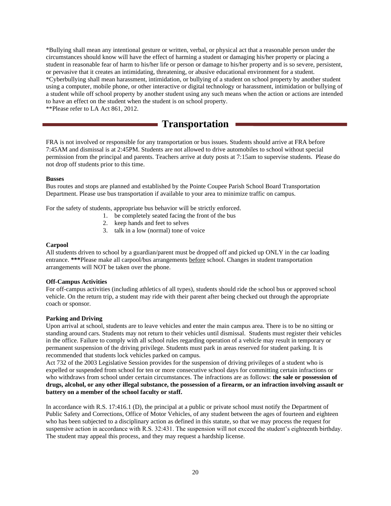\*Bullying shall mean any intentional gesture or written, verbal, or physical act that a reasonable person under the circumstances should know will have the effect of harming a student or damaging his/her property or placing a student in reasonable fear of harm to his/her life or person or damage to his/her property and is so severe, persistent, or pervasive that it creates an intimidating, threatening, or abusive educational environment for a student. \*Cyberbullying shall mean harassment, intimidation, or bullying of a student on school property by another student using a computer, mobile phone, or other interactive or digital technology or harassment, intimidation or bullying of a student while off school property by another student using any such means when the action or actions are intended to have an effect on the student when the student is on school property.

\*\*Please refer to LA Act 861, 2012.

# **Transportation**

FRA is not involved or responsible for any transportation or bus issues. Students should arrive at FRA before 7:45AM and dismissal is at 2:45PM. Students are not allowed to drive automobiles to school without special permission from the principal and parents. Teachers arrive at duty posts at 7:15am to supervise students. Please do not drop off students prior to this time.

#### **Busses**

Bus routes and stops are planned and established by the Pointe Coupee Parish School Board Transportation Department. Please use bus transportation if available to your area to minimize traffic on campus.

For the safety of students, appropriate bus behavior will be strictly enforced.

- 1. be completely seated facing the front of the bus
- 2. keep hands and feet to selves
- 3. talk in a low (normal) tone of voice

#### **Carpool**

All students driven to school by a guardian/parent must be dropped off and picked up ONLY in the car loading entrance. **\*\*\***Please make all carpool/bus arrangements before school. Changes in student transportation arrangements will NOT be taken over the phone.

#### **Off-Campus Activities**

For off-campus activities (including athletics of all types), students should ride the school bus or approved school vehicle. On the return trip, a student may ride with their parent after being checked out through the appropriate coach or sponsor.

#### **Parking and Driving**

Upon arrival at school, students are to leave vehicles and enter the main campus area. There is to be no sitting or standing around cars. Students may not return to their vehicles until dismissal. Students must register their vehicles in the office. Failure to comply with all school rules regarding operation of a vehicle may result in temporary or permanent suspension of the driving privilege. Students must park in areas reserved for student parking. It is recommended that students lock vehicles parked on campus.

Act 732 of the 2003 Legislative Session provides for the suspension of driving privileges of a student who is expelled or suspended from school for ten or more consecutive school days for committing certain infractions or who withdraws from school under certain circumstances. The infractions are as follows: **the sale or possession of drugs, alcohol, or any other illegal substance, the possession of a firearm, or an infraction involving assault or battery on a member of the school faculty or staff.**

In accordance with R.S. 17:416.1 (D), the principal at a public or private school must notify the Department of Public Safety and Corrections, Office of Motor Vehicles, of any student between the ages of fourteen and eighteen who has been subjected to a disciplinary action as defined in this statute, so that we may process the request for suspensive action in accordance with R.S. 32:431. The suspension will not exceed the student's eighteenth birthday. The student may appeal this process, and they may request a hardship license.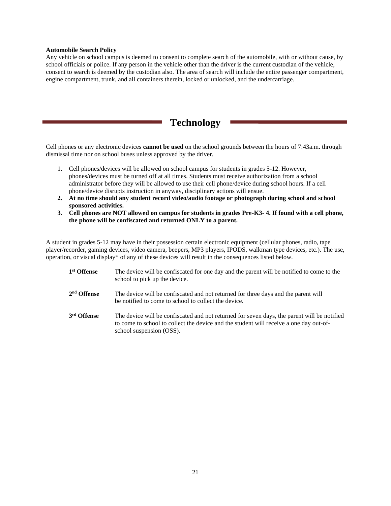#### **Automobile Search Policy**

Any vehicle on school campus is deemed to consent to complete search of the automobile, with or without cause, by school officials or police. If any person in the vehicle other than the driver is the current custodian of the vehicle, consent to search is deemed by the custodian also. The area of search will include the entire passenger compartment, engine compartment, trunk, and all containers therein, locked or unlocked, and the undercarriage.

## **Technology**

Cell phones or any electronic devices **cannot be used** on the school grounds between the hours of 7:43a.m. through dismissal time nor on school buses unless approved by the driver.

- 1. Cell phones/devices will be allowed on school campus for students in grades 5-12. However, phones/devices must be turned off at all times. Students must receive authorization from a school administrator before they will be allowed to use their cell phone/device during school hours. If a cell phone/device disrupts instruction in anyway, disciplinary actions will ensue.
- **2. At no time should any student record video/audio footage or photograph during school and school sponsored activities.**
- **3. Cell phones are NOT allowed on campus for students in grades Pre-K3- 4. If found with a cell phone, the phone will be confiscated and returned ONLY to a parent.**

A student in grades 5-12 may have in their possession certain electronic equipment (cellular phones, radio, tape player/recorder, gaming devices, video camera, beepers, MP3 players, IPODS, walkman type devices, etc.). The use, operation, or visual display\* of any of these devices will result in the consequences listed below.

| 1 <sup>st</sup> Offense | The device will be confiscated for one day and the parent will be notified to come to the<br>school to pick up the device.                                                                                        |
|-------------------------|-------------------------------------------------------------------------------------------------------------------------------------------------------------------------------------------------------------------|
| $2nd$ Offense           | The device will be confiscated and not returned for three days and the parent will<br>be notified to come to school to collect the device.                                                                        |
| 3 <sup>rd</sup> Offense | The device will be confiscated and not returned for seven days, the parent will be notified<br>to come to school to collect the device and the student will receive a one day out-of-<br>school suspension (OSS). |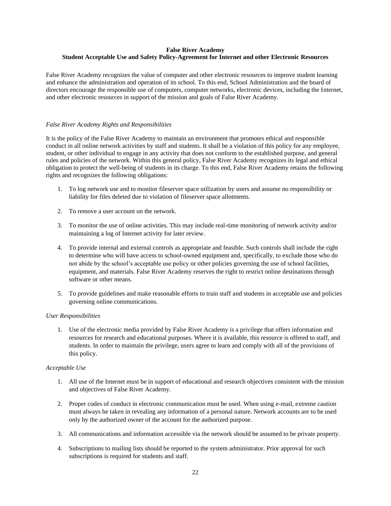#### **False River Academy Student Acceptable Use and Safety Policy-Agreement for Internet and other Electronic Resources**

False River Academy recognizes the value of computer and other electronic resources to improve student learning and enhance the administration and operation of its school. To this end, School Administration and the board of directors encourage the responsible use of computers, computer networks, electronic devices, including the Internet, and other electronic resources in support of the mission and goals of False River Academy.

#### *False River Academy Rights and Responsibilities*

It is the policy of the False River Academy to maintain an environment that promotes ethical and responsible conduct in all online network activities by staff and students. It shall be a violation of this policy for any employee, student, or other individual to engage in any activity that does not conform to the established purpose, and general rules and policies of the network. Within this general policy, False River Academy recognizes its legal and ethical obligation to protect the well-being of students in its charge. To this end, False River Academy retains the following rights and recognizes the following obligations:

- 1. To log network use and to monitor fileserver space utilization by users and assume no responsibility or liability for files deleted due to violation of fileserver space allotments.
- 2. To remove a user account on the network.
- 3. To monitor the use of online activities. This may include real-time monitoring of network activity and/or maintaining a log of Internet activity for later review.
- 4. To provide internal and external controls as appropriate and feasible. Such controls shall include the right to determine who will have access to school-owned equipment and, specifically, to exclude those who do not abide by the school's acceptable use policy or other policies governing the use of school facilities, equipment, and materials. False River Academy reserves the right to restrict online destinations through software or other means.
- 5. To provide guidelines and make reasonable efforts to train staff and students in acceptable use and policies governing online communications.

#### *User Responsibilities*

1. Use of the electronic media provided by False River Academy is a privilege that offers information and resources for research and educational purposes. Where it is available, this resource is offered to staff, and students. In order to maintain the privilege, users agree to learn and comply with all of the provisions of this policy.

#### *Acceptable Use*

- 1. All use of the Internet must be in support of educational and research objectives consistent with the mission and objectives of False River Academy.
- 2. Proper codes of conduct in electronic communication must be used. When using e-mail, extreme caution must always be taken in revealing any information of a personal nature. Network accounts are to be used only by the authorized owner of the account for the authorized purpose.
- 3. All communications and information accessible via the network should be assumed to be private property.
- 4. Subscriptions to mailing lists should be reported to the system administrator. Prior approval for such subscriptions is required for students and staff.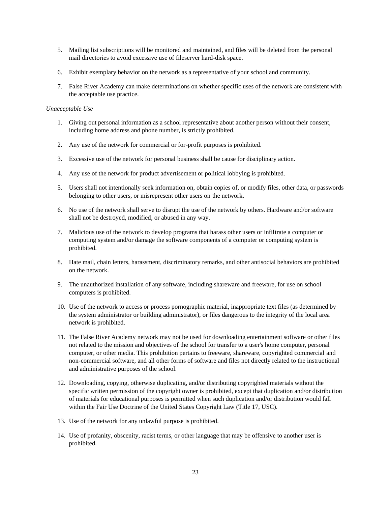- 5. Mailing list subscriptions will be monitored and maintained, and files will be deleted from the personal mail directories to avoid excessive use of fileserver hard-disk space.
- 6. Exhibit exemplary behavior on the network as a representative of your school and community.
- 7. False River Academy can make determinations on whether specific uses of the network are consistent with the acceptable use practice.

#### *Unacceptable Use*

- 1. Giving out personal information as a school representative about another person without their consent, including home address and phone number, is strictly prohibited.
- 2. Any use of the network for commercial or for-profit purposes is prohibited.
- 3. Excessive use of the network for personal business shall be cause for disciplinary action.
- 4. Any use of the network for product advertisement or political lobbying is prohibited.
- 5. Users shall not intentionally seek information on, obtain copies of, or modify files, other data, or passwords belonging to other users, or misrepresent other users on the network.
- 6. No use of the network shall serve to disrupt the use of the network by others. Hardware and/or software shall not be destroyed, modified, or abused in any way.
- 7. Malicious use of the network to develop programs that harass other users or infiltrate a computer or computing system and/or damage the software components of a computer or computing system is prohibited.
- 8. Hate mail, chain letters, harassment, discriminatory remarks, and other antisocial behaviors are prohibited on the network.
- 9. The unauthorized installation of any software, including shareware and freeware, for use on school computers is prohibited.
- 10. Use of the network to access or process pornographic material, inappropriate text files (as determined by the system administrator or building administrator), or files dangerous to the integrity of the local area network is prohibited.
- 11. The False River Academy network may not be used for downloading entertainment software or other files not related to the mission and objectives of the school for transfer to a user's home computer, personal computer, or other media. This prohibition pertains to freeware, shareware, copyrighted commercial and non-commercial software, and all other forms of software and files not directly related to the instructional and administrative purposes of the school.
- 12. Downloading, copying, otherwise duplicating, and/or distributing copyrighted materials without the specific written permission of the copyright owner is prohibited, except that duplication and/or distribution of materials for educational purposes is permitted when such duplication and/or distribution would fall within the Fair Use Doctrine of the United States Copyright Law (Title 17, USC).
- 13. Use of the network for any unlawful purpose is prohibited.
- 14. Use of profanity, obscenity, racist terms, or other language that may be offensive to another user is prohibited.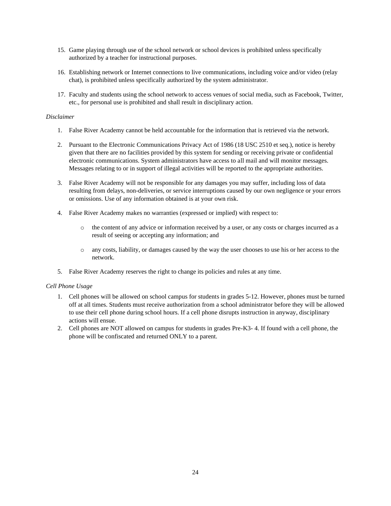- 15. Game playing through use of the school network or school devices is prohibited unless specifically authorized by a teacher for instructional purposes.
- 16. Establishing network or Internet connections to live communications, including voice and/or video (relay chat), is prohibited unless specifically authorized by the system administrator.
- 17. Faculty and students using the school network to access venues of social media, such as Facebook, Twitter, etc., for personal use is prohibited and shall result in disciplinary action.

#### *Disclaimer*

- 1. False River Academy cannot be held accountable for the information that is retrieved via the network.
- 2. Pursuant to the Electronic Communications Privacy Act of 1986 (18 USC 2510 et seq.), notice is hereby given that there are no facilities provided by this system for sending or receiving private or confidential electronic communications. System administrators have access to all mail and will monitor messages. Messages relating to or in support of illegal activities will be reported to the appropriate authorities.
- 3. False River Academy will not be responsible for any damages you may suffer, including loss of data resulting from delays, non-deliveries, or service interruptions caused by our own negligence or your errors or omissions. Use of any information obtained is at your own risk.
- 4. False River Academy makes no warranties (expressed or implied) with respect to:
	- o the content of any advice or information received by a user, or any costs or charges incurred as a result of seeing or accepting any information; and
	- o any costs, liability, or damages caused by the way the user chooses to use his or her access to the network.
- 5. False River Academy reserves the right to change its policies and rules at any time.

#### *Cell Phone Usage*

- 1. Cell phones will be allowed on school campus for students in grades 5-12. However, phones must be turned off at all times. Students must receive authorization from a school administrator before they will be allowed to use their cell phone during school hours. If a cell phone disrupts instruction in anyway, disciplinary actions will ensue.
- 2. Cell phones are NOT allowed on campus for students in grades Pre-K3- 4. If found with a cell phone, the phone will be confiscated and returned ONLY to a parent.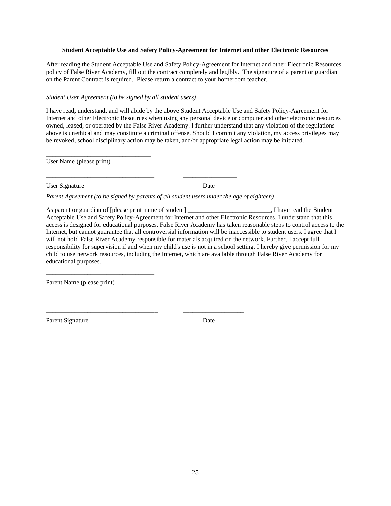#### **Student Acceptable Use and Safety Policy-Agreement for Internet and other Electronic Resources**

After reading the Student Acceptable Use and Safety Policy-Agreement for Internet and other Electronic Resources policy of False River Academy, fill out the contract completely and legibly. The signature of a parent or guardian on the Parent Contract is required. Please return a contract to your homeroom teacher.

#### *Student User Agreement (to be signed by all student users)*

I have read, understand, and will abide by the above Student Acceptable Use and Safety Policy-Agreement for Internet and other Electronic Resources when using any personal device or computer and other electronic resources owned, leased, or operated by the False River Academy. I further understand that any violation of the regulations above is unethical and may constitute a criminal offense. Should I commit any violation, my access privileges may be revoked, school disciplinary action may be taken, and/or appropriate legal action may be initiated.

User Name (please print)

\_\_\_\_\_\_\_\_\_\_\_\_\_\_\_\_\_\_\_\_\_\_\_\_\_\_\_\_\_\_\_\_\_

User Signature Date

*Parent Agreement (to be signed by parents of all student users under the age of eighteen)* 

\_\_\_\_\_\_\_\_\_\_\_\_\_\_\_\_\_\_\_\_\_\_\_\_\_\_\_\_\_\_\_\_\_\_ \_\_\_\_\_\_\_\_\_\_\_\_\_\_\_\_\_

\_\_\_\_\_\_\_\_\_\_\_\_\_\_\_\_\_\_\_\_\_\_\_\_\_\_\_\_\_\_\_\_\_\_\_ \_\_\_\_\_\_\_\_\_\_\_\_\_\_\_\_\_\_\_

As parent or guardian of [please print name of student] \_\_\_\_\_\_\_\_\_\_\_\_\_\_\_\_\_\_\_\_\_\_\_, I have read the Student Acceptable Use and Safety Policy-Agreement for Internet and other Electronic Resources. I understand that this access is designed for educational purposes. False River Academy has taken reasonable steps to control access to the Internet, but cannot guarantee that all controversial information will be inaccessible to student users. I agree that I will not hold False River Academy responsible for materials acquired on the network. Further, I accept full responsibility for supervision if and when my child's use is not in a school setting. I hereby give permission for my child to use network resources, including the Internet, which are available through False River Academy for educational purposes.

Parent Name (please print)

\_\_\_\_\_\_\_\_\_\_\_\_\_\_\_\_\_\_\_\_\_\_\_\_\_\_\_\_\_\_\_\_\_\_

Parent Signature Date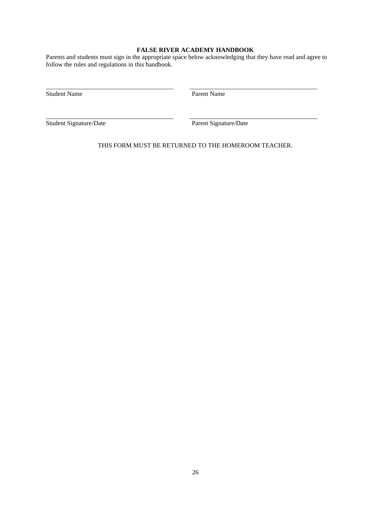#### **FALSE RIVER ACADEMY HANDBOOK**

Parents and students must sign in the appropriate space below acknowledging that they have read and agree to follow the rules and regulations in this handbook.

\_\_\_\_\_\_\_\_\_\_\_\_\_\_\_\_\_\_\_\_\_\_\_\_\_\_\_\_\_\_\_\_\_\_\_\_\_\_\_\_ \_\_\_\_\_\_\_\_\_\_\_\_\_\_\_\_\_\_\_\_\_\_\_\_\_\_\_\_\_\_\_\_\_\_\_\_\_\_\_\_

\_\_\_\_\_\_\_\_\_\_\_\_\_\_\_\_\_\_\_\_\_\_\_\_\_\_\_\_\_\_\_\_\_\_\_\_\_\_\_\_ \_\_\_\_\_\_\_\_\_\_\_\_\_\_\_\_\_\_\_\_\_\_\_\_\_\_\_\_\_\_\_\_\_\_\_\_\_\_\_\_

Student Name Parent Name

Student Signature/Date Parent Signature/Date

THIS FORM MUST BE RETURNED TO THE HOMEROOM TEACHER.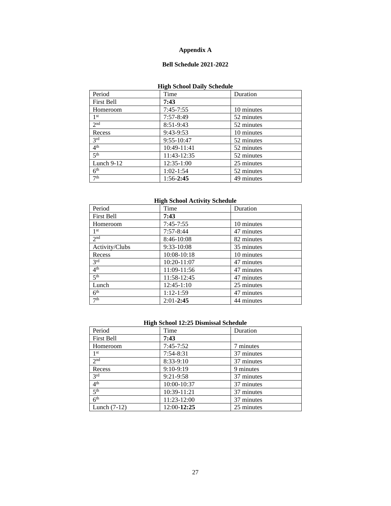### **Appendix A**

### **Bell Schedule 2021-2022**

### **High School Daily Schedule**

| Period              | Time           | Duration   |
|---------------------|----------------|------------|
| <b>First Bell</b>   | 7:43           |            |
| Homeroom            | $7:45 - 7:55$  | 10 minutes |
| 1 <sup>st</sup>     | $7:57-8:49$    | 52 minutes |
| 2 <sup>nd</sup>     | $8:51-9:43$    | 52 minutes |
| Recess              | $9:43-9:53$    | 10 minutes |
| 3 <sup>rd</sup>     | $9:55 - 10:47$ | 52 minutes |
| 4 <sup>th</sup>     | 10:49-11:41    | 52 minutes |
| $\overline{5^{th}}$ | 11:43-12:35    | 52 minutes |
| Lunch $9-12$        | $12:35-1:00$   | 25 minutes |
| 6 <sup>th</sup>     | $1:02 - 1:54$  | 52 minutes |
| 7 <sup>th</sup>     | $1:56-2:45$    | 49 minutes |

#### **High School Activity Schedule**

| Period                     | Time          | Duration   |
|----------------------------|---------------|------------|
| <b>First Bell</b>          | 7:43          |            |
| Homeroom                   | $7:45 - 7:55$ | 10 minutes |
| 1 <sup>st</sup>            | $7:57-8:44$   | 47 minutes |
| 2 <sup>nd</sup>            | 8:46-10:08    | 82 minutes |
| Activity/Clubs             | $9:33-10:08$  | 35 minutes |
| Recess                     | 10:08-10:18   | 10 minutes |
| $3^{\overline{\text{rd}}}$ | 10:20-11:07   | 47 minutes |
| 4 <sup>th</sup>            | 11:09-11:56   | 47 minutes |
| 5 <sup>th</sup>            | 11:58-12:45   | 47 minutes |
| Lunch                      | $12:45-1:10$  | 25 minutes |
| 6 <sup>th</sup>            | $1:12-1:59$   | 47 minutes |
| 7 <sup>th</sup>            | $2:01 - 2:45$ | 44 minutes |

#### **High School 12:25 Dismissal Schedule**

| Period            | Time          | Duration   |
|-------------------|---------------|------------|
| <b>First Bell</b> | 7:43          |            |
| Homeroom          | $7:45 - 7:52$ | 7 minutes  |
| 1 <sup>st</sup>   | 7:54-8:31     | 37 minutes |
| 2 <sup>nd</sup>   | 8:33-9:10     | 37 minutes |
| Recess            | 9:10-9:19     | 9 minutes  |
| 3 <sup>rd</sup>   | $9:21-9:58$   | 37 minutes |
| 4 <sup>th</sup>   | 10:00-10:37   | 37 minutes |
| 5 <sup>th</sup>   | 10:39-11:21   | 37 minutes |
| 6 <sup>th</sup>   | 11:23-12:00   | 37 minutes |
| Lunch $(7-12)$    | 12:00-12:25   | 25 minutes |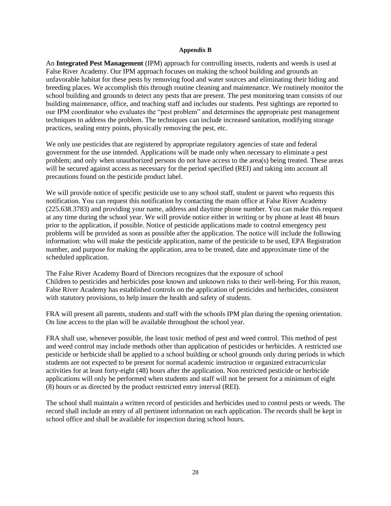#### **Appendix B**

An **Integrated Pest Management** (IPM) approach for controlling insects, rodents and weeds is used at False River Academy. Our IPM approach focuses on making the school building and grounds an unfavorable habitat for these pests by removing food and water sources and eliminating their hiding and breeding places. We accomplish this through routine cleaning and maintenance. We routinely monitor the school building and grounds to detect any pests that are present. The pest monitoring team consists of our building maintenance, office, and teaching staff and includes our students. Pest sightings are reported to our IPM coordinator who evaluates the "pest problem" and determines the appropriate pest management techniques to address the problem. The techniques can include increased sanitation, modifying storage practices, sealing entry points, physically removing the pest, etc.

We only use pesticides that are registered by appropriate regulatory agencies of state and federal government for the use intended. Applications will be made only when necessary to eliminate a pest problem; and only when unauthorized persons do not have access to the area(s) being treated. These areas will be secured against access as necessary for the period specified (REI) and taking into account all precautions found on the pesticide product label.

We will provide notice of specific pesticide use to any school staff, student or parent who requests this notification. You can request this notification by contacting the main office at False River Academy (225.638.3783) and providing your name, address and daytime phone number. You can make this request at any time during the school year. We will provide notice either in writing or by phone at least 48 hours prior to the application, if possible. Notice of pesticide applications made to control emergency pest problems will be provided as soon as possible after the application. The notice will include the following information: who will make the pesticide application, name of the pesticide to be used, EPA Registration number, and purpose for making the application, area to be treated, date and approximate time of the scheduled application.

The False River Academy Board of Directors recognizes that the exposure of school Children to pesticides and herbicides pose known and unknown risks to their well-being. For this reason, False River Academy has established controls on the application of pesticides and herbicides, consistent with statutory provisions, to help insure the health and safety of students.

FRA will present all parents, students and staff with the schools IPM plan during the opening orientation. On line access to the plan will be available throughout the school year.

FRA shall use, whenever possible, the least toxic method of pest and weed control. This method of pest and weed control may include methods other than application of pesticides or herbicides. A restricted use pesticide or herbicide shall be applied to a school building or school grounds only during periods in which students are not expected to be present for normal academic instruction or organized extracurricular activities for at least forty-eight (48) hours after the application. Non restricted pesticide or herbicide applications will only be performed when students and staff will not be present for a minimum of eight (8) hours or as directed by the product restricted entry interval (REI).

The school shall maintain a written record of pesticides and herbicides used to control pests or weeds. The record shall include an entry of all pertinent information on each application. The records shall be kept in school office and shall be available for inspection during school hours.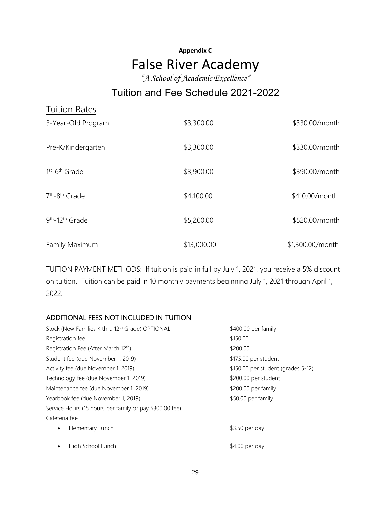# **Appendix C** False River Academy

*"A School of Academic Excellence"*

# Tuition and Fee Schedule 2021-2022

| <b>Tuition Rates</b>                    |             |                  |
|-----------------------------------------|-------------|------------------|
| 3-Year-Old Program                      | \$3,300.00  | \$330.00/month   |
| Pre-K/Kindergarten                      | \$3,300.00  | \$330.00/month   |
| $1st - 6th$ Grade                       | \$3,900.00  | \$390.00/month   |
| 7 <sup>th</sup> -8 <sup>th</sup> Grade  | \$4,100.00  | \$410.00/month   |
| 9 <sup>th</sup> -12 <sup>th</sup> Grade | \$5,200.00  | \$520.00/month   |
| Family Maximum                          | \$13,000.00 | \$1,300.00/month |

TUITION PAYMENT METHODS: If tuition is paid in full by July 1, 2021, you receive a 5% discount on tuition. Tuition can be paid in 10 monthly payments beginning July 1, 2021 through April 1, 2022.

## ADDITIONAL FEES NOT INCLUDED IN TUITION

| Stock (New Families K thru 12th Grade) OPTIONAL         | \$400.00 per family                |
|---------------------------------------------------------|------------------------------------|
| Registration fee                                        | \$150.00                           |
| Registration Fee (After March 12th)                     | \$200.00                           |
| Student fee (due November 1, 2019)                      | \$175.00 per student               |
| Activity fee (due November 1, 2019)                     | \$150.00 per student (grades 5-12) |
| Technology fee (due November 1, 2019)                   | \$200.00 per student               |
| Maintenance fee (due November 1, 2019)                  | \$200.00 per family                |
| Yearbook fee (due November 1, 2019)                     | \$50.00 per family                 |
| Service Hours (15 hours per family or pay \$300.00 fee) |                                    |
| Cafeteria fee                                           |                                    |
| Elementary Lunch<br>$\bullet$                           | \$3.50 per day                     |
| High School Lunch                                       | $$4.00$ per day                    |